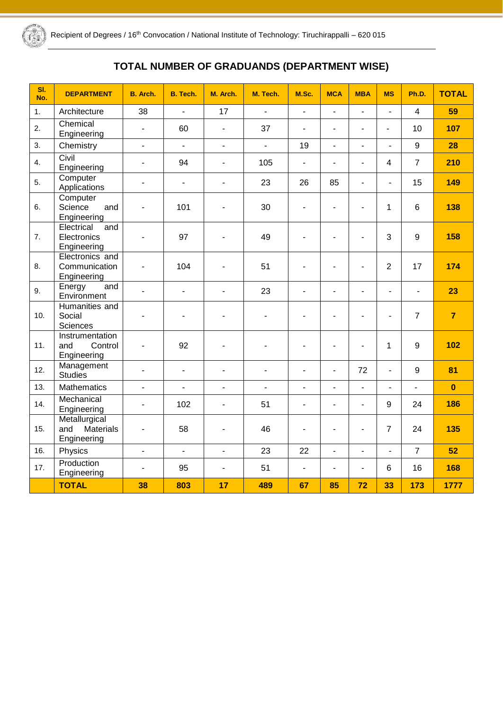

# **TOTAL NUMBER OF GRADUANDS (DEPARTMENT WISE)**

| SI.<br>No. | <b>DEPARTMENT</b>                                | <b>B.</b> Arch.          | B. Tech.                 | M. Arch.                 | M. Tech.                 | M.Sc.<br><b>MCA</b><br><b>MBA</b><br><b>MS</b> |                          | Ph.D.                    | <b>TOTAL</b>   |                          |                |
|------------|--------------------------------------------------|--------------------------|--------------------------|--------------------------|--------------------------|------------------------------------------------|--------------------------|--------------------------|----------------|--------------------------|----------------|
| 1.         | Architecture                                     | 38                       | ÷,                       | 17                       | $\mathbf{r}$             | $\blacksquare$                                 | $\overline{a}$           | $\overline{a}$           | $\blacksquare$ | $\overline{4}$           | 59             |
| 2.         | Chemical<br>Engineering                          | $\blacksquare$           | 60                       | $\blacksquare$           | 37                       | $\overline{\phantom{a}}$                       | $\overline{a}$           | $\overline{\phantom{a}}$ | $\overline{a}$ | 10                       | 107            |
| 3.         | Chemistry                                        | $\overline{a}$           | $\overline{a}$           | $\overline{a}$           | $\mathbf{r}$             | 19                                             | $\overline{a}$           | $\overline{a}$           | L.             | 9                        | 28             |
| 4.         | Civil<br>Engineering                             | $\blacksquare$           | 94                       | $\blacksquare$           | 105                      | $\overline{a}$                                 | ÷.                       | $\overline{a}$           | $\overline{4}$ | $\overline{7}$           | 210            |
| 5.         | Computer<br>Applications                         | $\overline{\phantom{a}}$ | ٠                        | $\overline{\phantom{a}}$ | 23                       | 26                                             | 85                       | $\blacksquare$           | $\blacksquare$ | 15                       | 149            |
| 6.         | Computer<br>Science<br>and<br>Engineering        | $\blacksquare$           | 101                      | $\blacksquare$           | 30                       | ٠                                              | $\overline{\phantom{m}}$ | $\overline{a}$           | $\mathbf{1}$   | 6                        | 138            |
| 7.         | Electrical<br>and<br>Electronics<br>Engineering  | $\blacksquare$           | 97                       |                          | 49                       |                                                |                          | L.                       | 3              | $\boldsymbol{9}$         | 158            |
| 8.         | Electronics and<br>Communication<br>Engineering  | $\blacksquare$           | 104                      | $\blacksquare$           | 51                       | $\overline{\phantom{0}}$                       | ÷                        | $\blacksquare$           | $\overline{2}$ | 17                       | 174            |
| 9.         | Energy<br>and<br>Environment                     | $\overline{a}$           | $\overline{\phantom{a}}$ | $\blacksquare$           | 23                       | $\blacksquare$                                 | $\blacksquare$           | $\blacksquare$           | $\blacksquare$ | $\blacksquare$           | 23             |
| 10.        | Humanities and<br>Social<br><b>Sciences</b>      | $\blacksquare$           | ۰                        | $\blacksquare$           | ٠                        |                                                |                          | $\blacksquare$           | $\blacksquare$ | $\overline{7}$           | $\overline{7}$ |
| 11.        | Instrumentation<br>and<br>Control<br>Engineering | ä,                       | 92                       | $\blacksquare$           | ÷                        | $\overline{a}$                                 | L,                       | $\overline{a}$           | 1              | $\boldsymbol{9}$         | 102            |
| 12.        | Management<br><b>Studies</b>                     | $\blacksquare$           | $\blacksquare$           | $\overline{\phantom{a}}$ | $\overline{\phantom{0}}$ | L,                                             | $\overline{a}$           | 72                       | $\blacksquare$ | 9                        | 81             |
| 13.        | Mathematics                                      | $\overline{a}$           | $\overline{\phantom{a}}$ | $\overline{\phantom{a}}$ | ÷.                       | $\overline{\phantom{a}}$                       | $\overline{\phantom{a}}$ | $\overline{a}$           | $\blacksquare$ | $\overline{\phantom{a}}$ | $\mathbf{0}$   |
| 14.        | Mechanical<br>Engineering                        | $\blacksquare$           | 102                      | $\blacksquare$           | 51                       | $\blacksquare$                                 | ÷,                       | $\overline{\phantom{a}}$ | 9              | 24                       | 186            |
| 15.        | Metallurgical<br>and<br>Materials<br>Engineering | $\blacksquare$           | 58                       | L.                       | 46                       | $\frac{1}{2}$                                  | L,                       | $\blacksquare$           | $\overline{7}$ | 24                       | 135            |
| 16.        | Physics                                          | $\overline{a}$           | $\overline{a}$           | $\overline{\phantom{a}}$ | 23                       | 22                                             | $\overline{a}$           | $\overline{a}$           | $\blacksquare$ | $\overline{7}$           | 52             |
| 17.        | Production<br>Engineering                        | $\blacksquare$           | 95                       | $\blacksquare$           | 51                       | $\overline{\phantom{a}}$                       | $\overline{\phantom{a}}$ | $\blacksquare$           | $6\phantom{1}$ | 16                       | 168            |
|            | <b>TOTAL</b>                                     | 38                       | 803                      | 17                       | 489                      | 67                                             | 85                       | 72                       | 33             | 173                      | 1777           |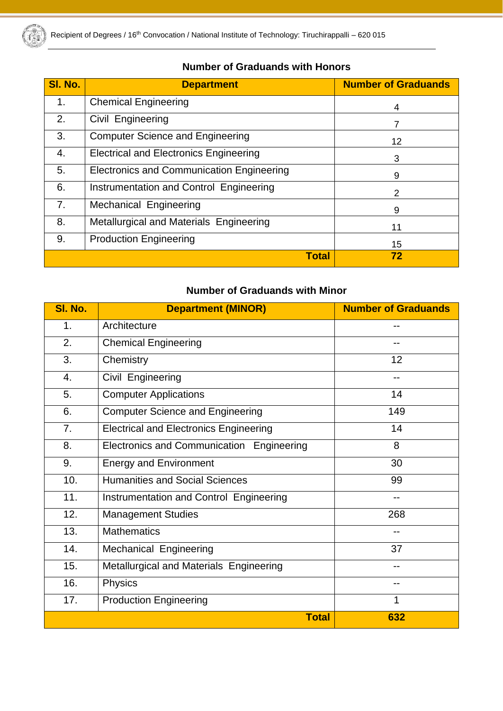

| 1101111061 UT UT GUUGHUU 111111 1101101 J |                                                  |                            |  |  |  |  |  |  |  |  |  |
|-------------------------------------------|--------------------------------------------------|----------------------------|--|--|--|--|--|--|--|--|--|
| SI. No.                                   | <b>Department</b>                                | <b>Number of Graduands</b> |  |  |  |  |  |  |  |  |  |
| 1.                                        | <b>Chemical Engineering</b>                      | 4                          |  |  |  |  |  |  |  |  |  |
| 2.                                        | Civil Engineering                                |                            |  |  |  |  |  |  |  |  |  |
| 3.                                        | <b>Computer Science and Engineering</b>          | 12 <sub>2</sub>            |  |  |  |  |  |  |  |  |  |
| 4.                                        | <b>Electrical and Electronics Engineering</b>    | 3                          |  |  |  |  |  |  |  |  |  |
| 5.                                        | <b>Electronics and Communication Engineering</b> | 9                          |  |  |  |  |  |  |  |  |  |
| 6.                                        | Instrumentation and Control Engineering          | 2                          |  |  |  |  |  |  |  |  |  |
| 7.                                        | Mechanical Engineering                           | 9                          |  |  |  |  |  |  |  |  |  |
| 8.                                        | Metallurgical and Materials Engineering          | 11                         |  |  |  |  |  |  |  |  |  |
| 9.                                        | <b>Production Engineering</b>                    | 15                         |  |  |  |  |  |  |  |  |  |
|                                           | <b>Total</b>                                     | 72                         |  |  |  |  |  |  |  |  |  |

### **Number of Graduands with Honors**

## **Number of Graduands with Minor**

| SI. No.          | <b>Department (MINOR)</b>                      | <b>Number of Graduands</b> |
|------------------|------------------------------------------------|----------------------------|
| 1.               | Architecture                                   | --                         |
| 2.               | <b>Chemical Engineering</b>                    | --                         |
| 3.               | Chemistry                                      | 12                         |
| $\overline{4}$ . | Civil Engineering                              | --                         |
| 5.               | <b>Computer Applications</b>                   | 14                         |
| 6.               | <b>Computer Science and Engineering</b>        | 149                        |
| 7.               | <b>Electrical and Electronics Engineering</b>  | 14                         |
| 8.               | Electronics and Communication Engineering      | 8                          |
| 9.               | <b>Energy and Environment</b>                  | 30                         |
| 10.              | <b>Humanities and Social Sciences</b>          | 99                         |
| 11.              | <b>Instrumentation and Control Engineering</b> | --                         |
| 12.              | <b>Management Studies</b>                      | 268                        |
| 13.              | <b>Mathematics</b>                             |                            |
| 14.              | Mechanical Engineering                         | 37                         |
| 15.              | Metallurgical and Materials Engineering        | --                         |
| 16.              | Physics                                        |                            |
| 17.              | <b>Production Engineering</b>                  | 1                          |
|                  | <b>Total</b>                                   | 632                        |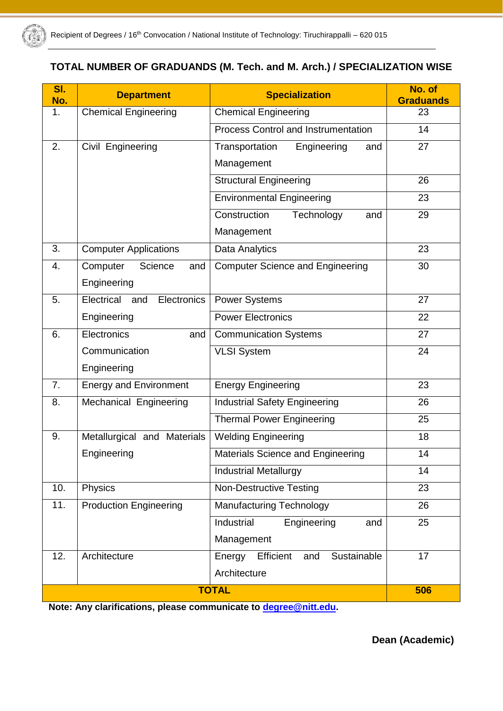

### **TOTAL NUMBER OF GRADUANDS (M. Tech. and M. Arch.) / SPECIALIZATION WISE**

| SI.<br>No. | <b>Department</b>                | <b>Specialization</b>                      | No. of<br><b>Graduands</b> |
|------------|----------------------------------|--------------------------------------------|----------------------------|
| 1.         | <b>Chemical Engineering</b>      | <b>Chemical Engineering</b>                | 23                         |
|            |                                  | <b>Process Control and Instrumentation</b> | 14                         |
| 2.         | Civil Engineering                | Engineering<br>Transportation<br>and       | 27                         |
|            |                                  | Management                                 |                            |
|            |                                  | Structural Engineering                     | 26                         |
|            |                                  | <b>Environmental Engineering</b>           | 23                         |
|            |                                  | Construction<br>Technology<br>and          | 29                         |
|            |                                  | Management                                 |                            |
| 3.         | <b>Computer Applications</b>     | Data Analytics                             | 23                         |
| 4.         | Computer<br>Science<br>and       | <b>Computer Science and Engineering</b>    | 30                         |
|            | Engineering                      |                                            |                            |
| 5.         | Electrical<br>Electronics<br>and | <b>Power Systems</b>                       | 27                         |
|            | Engineering                      | <b>Power Electronics</b>                   | 22                         |
| 6.         | Electronics<br>and               | <b>Communication Systems</b>               | 27                         |
|            | Communication                    | <b>VLSI System</b>                         | 24                         |
|            | Engineering                      |                                            |                            |
| 7.         | <b>Energy and Environment</b>    | <b>Energy Engineering</b>                  | 23                         |
| 8.         | Mechanical Engineering           | <b>Industrial Safety Engineering</b>       | 26                         |
|            |                                  | <b>Thermal Power Engineering</b>           | 25                         |
| 9.         | Metallurgical and Materials      | <b>Welding Engineering</b>                 | 18                         |
|            | Engineering                      | Materials Science and Engineering          | 14                         |
|            |                                  | <b>Industrial Metallurgy</b>               | 14                         |
| 10.        | Physics                          | <b>Non-Destructive Testing</b>             | 23                         |
| 11.        | <b>Production Engineering</b>    | <b>Manufacturing Technology</b>            | 26                         |
|            |                                  | Industrial<br>Engineering<br>and           | 25                         |
|            |                                  | Management                                 |                            |
| 12.        | Architecture                     | Sustainable<br>Energy<br>Efficient<br>and  | 17                         |
|            |                                  | Architecture                               |                            |
|            |                                  | <b>TOTAL</b>                               | 506                        |

**Note: Any clarifications, please communicate to [degree@nitt.edu.](mailto:degree@nitt.edu)**